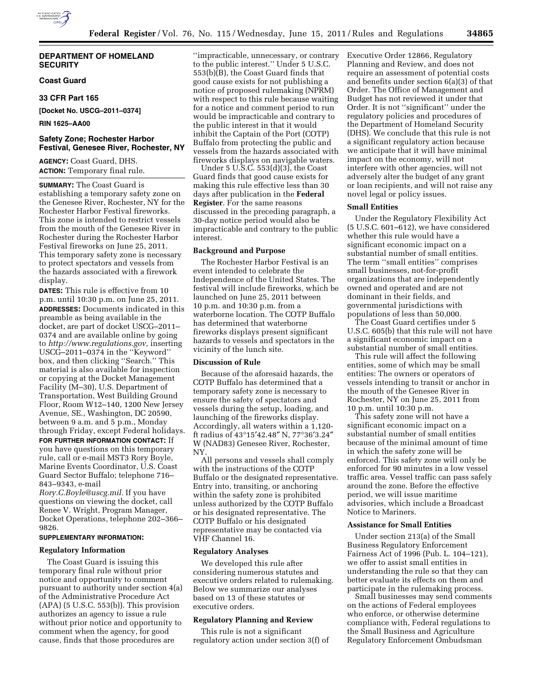# **DEPARTMENT OF HOMELAND SECURITY**

# **Coast Guard**

### **33 CFR Part 165**

**[Docket No. USCG–2011–0374]** 

### **RIN 1625–AA00**

# **Safety Zone; Rochester Harbor Festival, Genesee River, Rochester, NY**

**AGENCY:** Coast Guard, DHS. **ACTION:** Temporary final rule.

**SUMMARY:** The Coast Guard is establishing a temporary safety zone on the Genesee River, Rochester, NY for the Rochester Harbor Festival fireworks. This zone is intended to restrict vessels from the mouth of the Genesee River in Rochester during the Rochester Harbor Festival fireworks on June 25, 2011. This temporary safety zone is necessary to protect spectators and vessels from the hazards associated with a firework display.

**DATES:** This rule is effective from 10 p.m. until 10:30 p.m. on June 25, 2011. **ADDRESSES:** Documents indicated in this preamble as being available in the docket, are part of docket USCG–2011– 0374 and are available online by going to *[http://www.regulations.gov,](http://www.regulations.gov)* inserting USCG–2011–0374 in the ''Keyword'' box, and then clicking ''Search.'' This material is also available for inspection or copying at the Docket Management Facility (M–30), U.S. Department of Transportation, West Building Ground Floor, Room W12–140, 1200 New Jersey Avenue, SE., Washington, DC 20590, between 9 a.m. and 5 p.m., Monday through Friday, except Federal holidays.

**FOR FURTHER INFORMATION CONTACT:** If you have questions on this temporary rule, call or e-mail MST3 Rory Boyle, Marine Events Coordinator, U.S. Coast Guard Sector Buffalo; telephone 716– 843–9343, e-mail

*[Rory.C.Boyle@uscg.mil.](mailto:Rory.C.Boyle@uscg.mil)* If you have questions on viewing the docket, call Renee V. Wright, Program Manager, Docket Operations, telephone 202–366– 9826.

# **SUPPLEMENTARY INFORMATION:**

# **Regulatory Information**

The Coast Guard is issuing this temporary final rule without prior notice and opportunity to comment pursuant to authority under section 4(a) of the Administrative Procedure Act (APA) (5 U.S.C. 553(b)). This provision authorizes an agency to issue a rule without prior notice and opportunity to comment when the agency, for good cause, finds that those procedures are

''impracticable, unnecessary, or contrary to the public interest.'' Under 5 U.S.C. 553(b)(B), the Coast Guard finds that good cause exists for not publishing a notice of proposed rulemaking (NPRM) with respect to this rule because waiting for a notice and comment period to run would be impracticable and contrary to the public interest in that it would inhibit the Captain of the Port (COTP) Buffalo from protecting the public and vessels from the hazards associated with fireworks displays on navigable waters.

Under 5 U.S.C. 553(d)(3), the Coast Guard finds that good cause exists for making this rule effective less than 30 days after publication in the **Federal Register**. For the same reasons discussed in the preceding paragraph, a 30-day notice period would also be impracticable and contrary to the public interest.

### **Background and Purpose**

The Rochester Harbor Festival is an event intended to celebrate the Independence of the United States. The festival will include fireworks, which be launched on June 25, 2011 between 10 p.m. and 10:30 p.m. from a waterborne location. The COTP Buffalo has determined that waterborne fireworks displays present significant hazards to vessels and spectators in the vicinity of the lunch site.

### **Discussion of Rule**

Because of the aforesaid hazards, the COTP Buffalo has determined that a temporary safety zone is necessary to ensure the safety of spectators and vessels during the setup, loading, and launching of the fireworks display. Accordingly, all waters within a 1,120 ft radius of 43°15′42.48″ N, 77°36′3.24″ W (NAD83) Genesee River, Rochester, NY.

All persons and vessels shall comply with the instructions of the COTP Buffalo or the designated representative. Entry into, transiting, or anchoring within the safety zone is prohibited unless authorized by the COTP Buffalo or his designated representative. The COTP Buffalo or his designated representative may be contacted via VHF Channel 16.

# **Regulatory Analyses**

We developed this rule after considering numerous statutes and executive orders related to rulemaking. Below we summarize our analyses based on 13 of these statutes or executive orders.

# **Regulatory Planning and Review**

This rule is not a significant regulatory action under section 3(f) of Executive Order 12866, Regulatory Planning and Review, and does not require an assessment of potential costs and benefits under section 6(a)(3) of that Order. The Office of Management and Budget has not reviewed it under that Order. It is not ''significant'' under the regulatory policies and procedures of the Department of Homeland Security (DHS). We conclude that this rule is not a significant regulatory action because we anticipate that it will have minimal impact on the economy, will not interfere with other agencies, will not adversely alter the budget of any grant or loan recipients, and will not raise any novel legal or policy issues.

### **Small Entities**

Under the Regulatory Flexibility Act (5 U.S.C. 601–612), we have considered whether this rule would have a significant economic impact on a substantial number of small entities. The term ''small entities'' comprises small businesses, not-for-profit organizations that are independently owned and operated and are not dominant in their fields, and governmental jurisdictions with populations of less than 50,000.

The Coast Guard certifies under 5 U.S.C. 605(b) that this rule will not have a significant economic impact on a substantial number of small entities.

This rule will affect the following entities, some of which may be small entities: The owners or operators of vessels intending to transit or anchor in the mouth of the Genesee River in Rochester, NY on June 25, 2011 from 10 p.m. until 10:30 p.m.

This safety zone will not have a significant economic impact on a substantial number of small entities because of the minimal amount of time in which the safety zone will be enforced. This safety zone will only be enforced for 90 minutes in a low vessel traffic area. Vessel traffic can pass safely around the zone. Before the effective period, we will issue maritime advisories, which include a Broadcast Notice to Mariners.

### **Assistance for Small Entities**

Under section 213(a) of the Small Business Regulatory Enforcement Fairness Act of 1996 (Pub. L. 104–121), we offer to assist small entities in understanding the rule so that they can better evaluate its effects on them and participate in the rulemaking process.

Small businesses may send comments on the actions of Federal employees who enforce, or otherwise determine compliance with, Federal regulations to the Small Business and Agriculture Regulatory Enforcement Ombudsman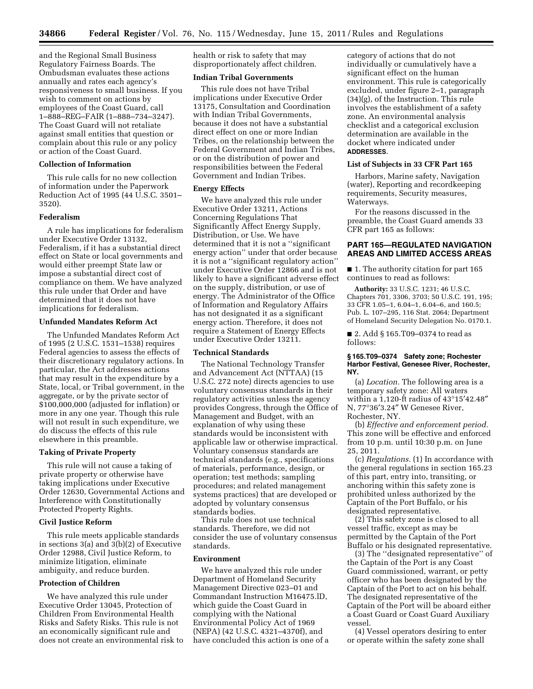and the Regional Small Business Regulatory Fairness Boards. The Ombudsman evaluates these actions annually and rates each agency's responsiveness to small business. If you wish to comment on actions by employees of the Coast Guard, call 1–888–REG–FAIR (1–888–734–3247). The Coast Guard will not retaliate against small entities that question or complain about this rule or any policy or action of the Coast Guard.

#### **Collection of Information**

This rule calls for no new collection of information under the Paperwork Reduction Act of 1995 (44 U.S.C. 3501– 3520).

#### **Federalism**

A rule has implications for federalism under Executive Order 13132, Federalism, if it has a substantial direct effect on State or local governments and would either preempt State law or impose a substantial direct cost of compliance on them. We have analyzed this rule under that Order and have determined that it does not have implications for federalism.

#### **Unfunded Mandates Reform Act**

The Unfunded Mandates Reform Act of 1995 (2 U.S.C. 1531–1538) requires Federal agencies to assess the effects of their discretionary regulatory actions. In particular, the Act addresses actions that may result in the expenditure by a State, local, or Tribal government, in the aggregate, or by the private sector of \$100,000,000 (adjusted for inflation) or more in any one year. Though this rule will not result in such expenditure, we do discuss the effects of this rule elsewhere in this preamble.

### **Taking of Private Property**

This rule will not cause a taking of private property or otherwise have taking implications under Executive Order 12630, Governmental Actions and Interference with Constitutionally Protected Property Rights.

### **Civil Justice Reform**

This rule meets applicable standards in sections 3(a) and 3(b)(2) of Executive Order 12988, Civil Justice Reform, to minimize litigation, eliminate ambiguity, and reduce burden.

#### **Protection of Children**

We have analyzed this rule under Executive Order 13045, Protection of Children From Environmental Health Risks and Safety Risks. This rule is not an economically significant rule and does not create an environmental risk to health or risk to safety that may disproportionately affect children.

### **Indian Tribal Governments**

This rule does not have Tribal implications under Executive Order 13175, Consultation and Coordination with Indian Tribal Governments, because it does not have a substantial direct effect on one or more Indian Tribes, on the relationship between the Federal Government and Indian Tribes, or on the distribution of power and responsibilities between the Federal Government and Indian Tribes.

#### **Energy Effects**

We have analyzed this rule under Executive Order 13211, Actions Concerning Regulations That Significantly Affect Energy Supply, Distribution, or Use. We have determined that it is not a ''significant energy action'' under that order because it is not a ''significant regulatory action'' under Executive Order 12866 and is not likely to have a significant adverse effect on the supply, distribution, or use of energy. The Administrator of the Office of Information and Regulatory Affairs has not designated it as a significant energy action. Therefore, it does not require a Statement of Energy Effects under Executive Order 13211.

# **Technical Standards**

The National Technology Transfer and Advancement Act (NTTAA) (15 U.S.C. 272 note) directs agencies to use voluntary consensus standards in their regulatory activities unless the agency provides Congress, through the Office of Management and Budget, with an explanation of why using these standards would be inconsistent with applicable law or otherwise impractical. Voluntary consensus standards are technical standards (e.g., specifications of materials, performance, design, or operation; test methods; sampling procedures; and related management systems practices) that are developed or adopted by voluntary consensus standards bodies.

This rule does not use technical standards. Therefore, we did not consider the use of voluntary consensus standards.

#### **Environment**

We have analyzed this rule under Department of Homeland Security Management Directive 023–01 and Commandant Instruction M16475.lD, which guide the Coast Guard in complying with the National Environmental Policy Act of 1969 (NEPA) (42 U.S.C. 4321–4370f), and have concluded this action is one of a

category of actions that do not individually or cumulatively have a significant effect on the human environment. This rule is categorically excluded, under figure 2–1, paragraph (34)(g), of the Instruction. This rule involves the establishment of a safety zone. An environmental analysis checklist and a categorical exclusion determination are available in the docket where indicated under **ADDRESSES**.

#### **List of Subjects in 33 CFR Part 165**

Harbors, Marine safety, Navigation (water), Reporting and recordkeeping requirements, Security measures, Waterways.

For the reasons discussed in the preamble, the Coast Guard amends 33 CFR part 165 as follows:

### **PART 165—REGULATED NAVIGATION AREAS AND LIMITED ACCESS AREAS**

■ 1. The authority citation for part 165 continues to read as follows:

**Authority:** 33 U.S.C. 1231; 46 U.S.C. Chapters 701, 3306, 3703; 50 U.S.C. 191, 195; 33 CFR 1.05–1, 6.04–1, 6.04–6, and 160.5; Pub. L. 107–295, 116 Stat. 2064; Department of Homeland Security Delegation No. 0170.1.

■ 2. Add § 165.T09–0374 to read as follows:

#### **§ 165.T09–0374 Safety zone; Rochester Harbor Festival, Genesee River, Rochester, NY.**

(a) *Location.* The following area is a temporary safety zone: All waters within a 1,120-ft radius of 43°15′42.48″ N, 77°36′3.24″ W Genesee River, Rochester, NY.

(b) *Effective and enforcement period.*  This zone will be effective and enforced from 10 p.m. until 10:30 p.m. on June 25, 2011.

(c) *Regulations.* (1) In accordance with the general regulations in section 165.23 of this part, entry into, transiting, or anchoring within this safety zone is prohibited unless authorized by the Captain of the Port Buffalo, or his designated representative.

(2) This safety zone is closed to all vessel traffic, except as may be permitted by the Captain of the Port Buffalo or his designated representative.

(3) The ''designated representative'' of the Captain of the Port is any Coast Guard commissioned, warrant, or petty officer who has been designated by the Captain of the Port to act on his behalf. The designated representative of the Captain of the Port will be aboard either a Coast Guard or Coast Guard Auxiliary vessel.

(4) Vessel operators desiring to enter or operate within the safety zone shall